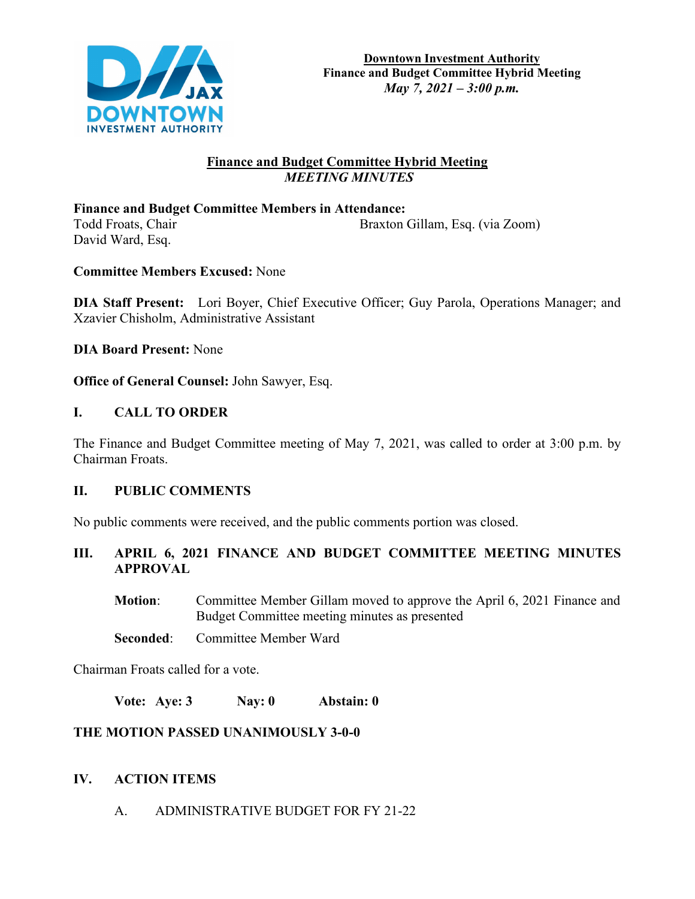

## **Finance and Budget Committee Hybrid Meeting**  *MEETING MINUTES*

**Finance and Budget Committee Members in Attendance:**  Todd Froats, Chair Braxton Gillam, Esq. (via Zoom) David Ward, Esq.

**Committee Members Excused:** None

**DIA Staff Present:** Lori Boyer, Chief Executive Officer; Guy Parola, Operations Manager; and Xzavier Chisholm, Administrative Assistant

**DIA Board Present:** None

**Office of General Counsel:** John Sawyer, Esq.

## **I. CALL TO ORDER**

The Finance and Budget Committee meeting of May 7, 2021, was called to order at 3:00 p.m. by Chairman Froats.

### **II. PUBLIC COMMENTS**

No public comments were received, and the public comments portion was closed.

**III. APRIL 6, 2021 FINANCE AND BUDGET COMMITTEE MEETING MINUTES APPROVAL**

**Motion**: Committee Member Gillam moved to approve the April 6, 2021 Finance and Budget Committee meeting minutes as presented

**Seconded:** Committee Member Ward

Chairman Froats called for a vote.

**Vote: Aye: 3 Nay: 0 Abstain: 0**

## **THE MOTION PASSED UNANIMOUSLY 3-0-0**

## **IV. ACTION ITEMS**

A. ADMINISTRATIVE BUDGET FOR FY 21-22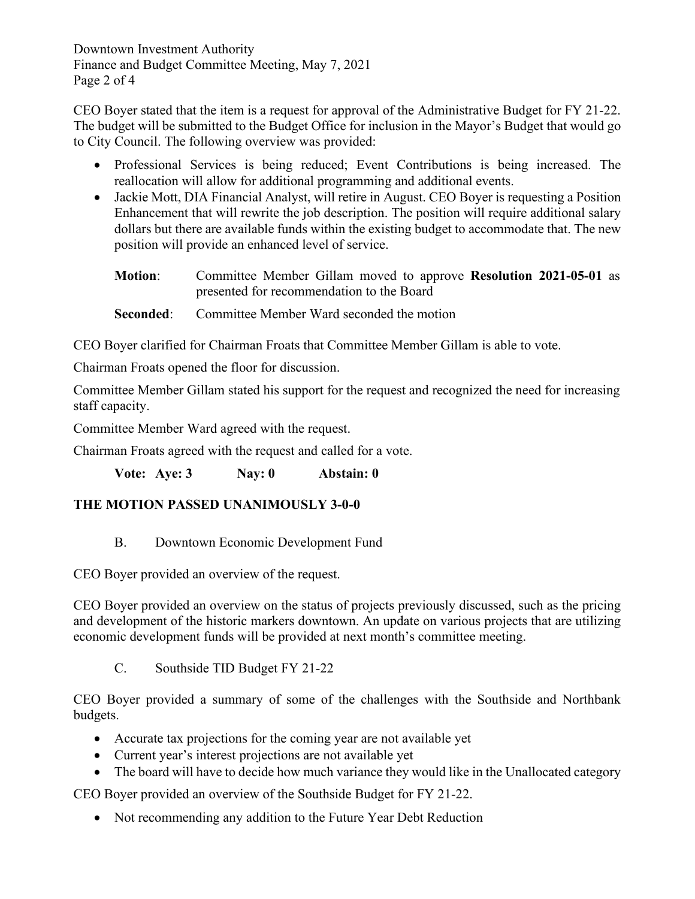Downtown Investment Authority Finance and Budget Committee Meeting, May 7, 2021 Page 2 of 4

CEO Boyer stated that the item is a request for approval of the Administrative Budget for FY 21-22. The budget will be submitted to the Budget Office for inclusion in the Mayor's Budget that would go to City Council. The following overview was provided:

- Professional Services is being reduced; Event Contributions is being increased. The reallocation will allow for additional programming and additional events.
- Jackie Mott, DIA Financial Analyst, will retire in August. CEO Boyer is requesting a Position Enhancement that will rewrite the job description. The position will require additional salary dollars but there are available funds within the existing budget to accommodate that. The new position will provide an enhanced level of service.
	- **Motion**: Committee Member Gillam moved to approve **Resolution 2021-05-01** as presented for recommendation to the Board
	- **Seconded:** Committee Member Ward seconded the motion

CEO Boyer clarified for Chairman Froats that Committee Member Gillam is able to vote.

Chairman Froats opened the floor for discussion.

Committee Member Gillam stated his support for the request and recognized the need for increasing staff capacity.

Committee Member Ward agreed with the request.

Chairman Froats agreed with the request and called for a vote.

**Vote: Aye: 3 Nay: 0 Abstain: 0**

## **THE MOTION PASSED UNANIMOUSLY 3-0-0**

B. Downtown Economic Development Fund

CEO Boyer provided an overview of the request.

CEO Boyer provided an overview on the status of projects previously discussed, such as the pricing and development of the historic markers downtown. An update on various projects that are utilizing economic development funds will be provided at next month's committee meeting.

C. Southside TID Budget FY 21-22

CEO Boyer provided a summary of some of the challenges with the Southside and Northbank budgets.

- Accurate tax projections for the coming year are not available yet
- Current year's interest projections are not available yet
- The board will have to decide how much variance they would like in the Unallocated category

CEO Boyer provided an overview of the Southside Budget for FY 21-22.

• Not recommending any addition to the Future Year Debt Reduction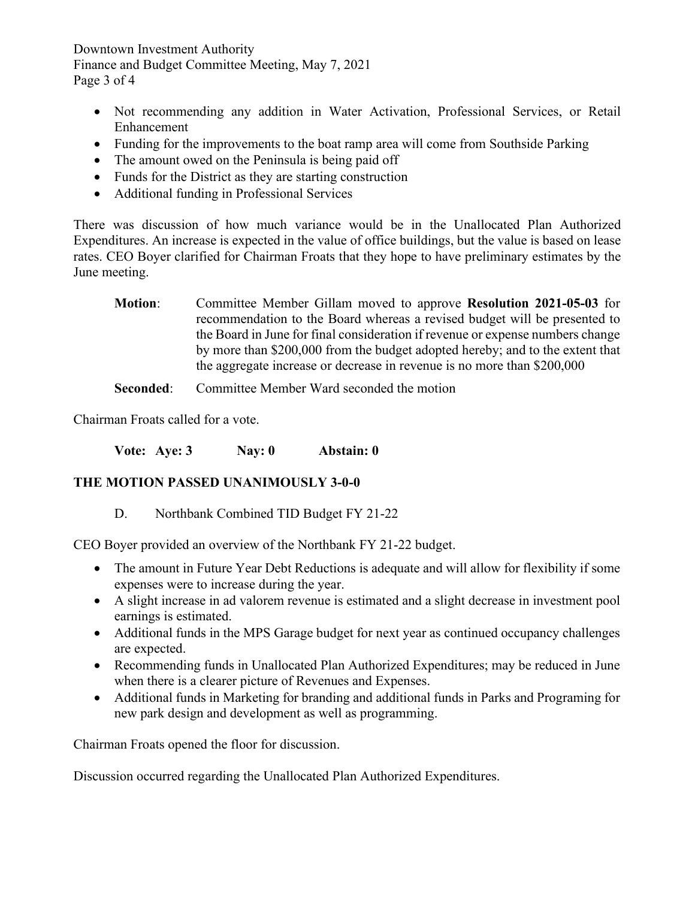Downtown Investment Authority Finance and Budget Committee Meeting, May 7, 2021 Page 3 of 4

- Not recommending any addition in Water Activation, Professional Services, or Retail Enhancement
- Funding for the improvements to the boat ramp area will come from Southside Parking
- The amount owed on the Peninsula is being paid off
- Funds for the District as they are starting construction
- Additional funding in Professional Services

There was discussion of how much variance would be in the Unallocated Plan Authorized Expenditures. An increase is expected in the value of office buildings, but the value is based on lease rates. CEO Boyer clarified for Chairman Froats that they hope to have preliminary estimates by the June meeting.

**Motion**: Committee Member Gillam moved to approve **Resolution 2021-05-03** for recommendation to the Board whereas a revised budget will be presented to the Board in June for final consideration if revenue or expense numbers change by more than \$200,000 from the budget adopted hereby; and to the extent that the aggregate increase or decrease in revenue is no more than \$200,000

**Seconded:** Committee Member Ward seconded the motion

Chairman Froats called for a vote.

**Vote: Aye: 3 Nay: 0 Abstain: 0** 

# **THE MOTION PASSED UNANIMOUSLY 3-0-0**

## D. Northbank Combined TID Budget FY 21-22

CEO Boyer provided an overview of the Northbank FY 21-22 budget.

- The amount in Future Year Debt Reductions is adequate and will allow for flexibility if some expenses were to increase during the year.
- A slight increase in ad valorem revenue is estimated and a slight decrease in investment pool earnings is estimated.
- Additional funds in the MPS Garage budget for next year as continued occupancy challenges are expected.
- Recommending funds in Unallocated Plan Authorized Expenditures; may be reduced in June when there is a clearer picture of Revenues and Expenses.
- Additional funds in Marketing for branding and additional funds in Parks and Programing for new park design and development as well as programming.

Chairman Froats opened the floor for discussion.

Discussion occurred regarding the Unallocated Plan Authorized Expenditures.